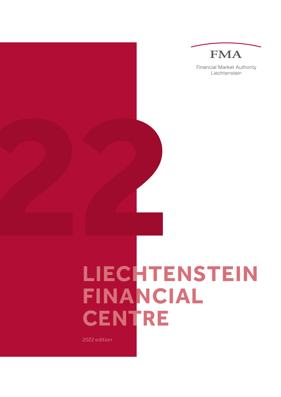

**Financial Market Authority** Liechtenstein

# **LIECHTENSTEIN FINANCIAL CENTRE 222**

2022 edition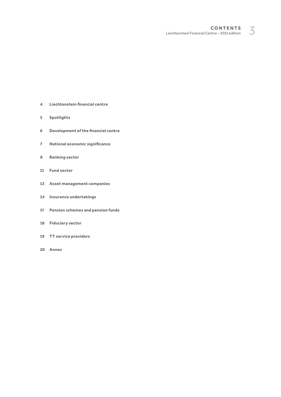**C o ntents**  $$ 

- <span id="page-2-0"></span>**[4 Liechtenstein](#page-3-0) financial centre**
- **[Spotlights](#page-4-0)**
- **[Development](#page-5-0) of the financial centre**
- **National economic [significance](#page-6-0)**
- **[Banking](#page-7-0) sector**
- **[Fund](#page-10-0) sector**
- **Asset [management](#page-12-0) companies**
- **Insurance [undertakings](#page-13-0)**
- **[Pension](#page-16-0) schemes and pension funds**
- **[Fiduciary](#page-17-0) sector**
- **TT service [providers](#page-18-0)**
- **[Annex](#page-19-0)**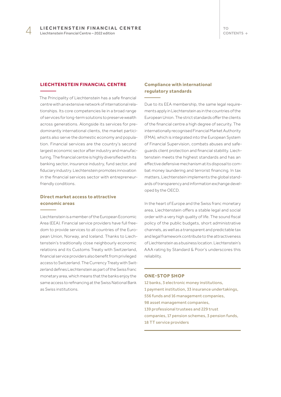#### <span id="page-3-0"></span>**LIECHTENSTEIN FINANCIAL CENTRE**

The Principality of Liechtenstein has a safe financial centre with an extensive network of international relationships. Its core competencies lie in a broad range of services for long-term solutions to preserve wealth across generations. Alongside its services for predominantly international clients, the market participants also serve the domestic economy and population. Financial services are the country's second largest economic sector after industry and manufacturing. The financial centre is highly diversified with its banking sector, insurance industry, fund sector, and fiduciary industry. Liechtenstein promotes innovation in the financial services sector with entrepreneurfriendly conditions.

# **Direct market access to attractive economic areas**

Liechtenstein is a member of the European Economic Area (EEA). Financial service providers have full freedom to provide services to all countries of the European Union, Norway, and Iceland. Thanks to Liechtenstein's traditionally close neighbourly economic relations and its Customs Treaty with Switzerland, financial service providers also benefit from privileged access to Switzerland. The Currency Treaty with Switzerland defines Liechtenstein as part of the Swiss franc monetary area, which means that the banks enjoy the same access to refinancing at the Swiss National Bank as Swiss institutions.

# **Compliance with international regulatory standards**

Due to its EEA membership, the same legal requirements apply in Liechtenstein as in the countries of the European Union. The strict standards offer the clients of the financial centre a high degree of security. The internationally recognised Financial Market Authority (FMA), which is integrated into the European System of Financial Supervision, combats abuses and safeguards client protection and financial stability. Liechtenstein meets the highest standards and has an effective defensive mechanism at its disposal to combat money laundering and terrorist financing. In tax matters, Liechtenstein implements the global standards of transparency and information exchange developed by the OECD.

In the heart of Europe and the Swiss franc monetary area, Liechtenstein offers a stable legal and social order with a very high quality of life. The sound fiscal policy of the public budgets, short administrative channels, as well as a transparent and predictable tax and legal framework contribute to the attractiveness of Liechtenstein as a business location. Liechtenstein's AAA rating by Standard & Poor's underscores this reliability.

#### **ONE-STOP SHOP**

12 banks, 3 electronic money institutions, 1 payment institution, 33 insurance undertakings, 556 funds and 16 management companies, 98 asset management companies, 139 professional trustees and 229 trust companies, 17 pension schemes, 3 pension funds, 18 TT service providers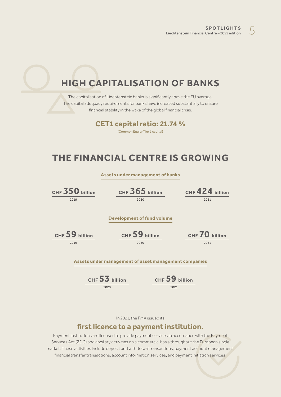# <span id="page-4-0"></span>**HIGH CAPITALISATION OF BANKS**

The capitalisation of Liechtenstein banks is significantly above the EU average. The capital adequacy requirements for banks have increased substantially to ensure financial stability in the wake of the global financial crisis.

# **CET1 capital ratio: 21.74 %**

(Common Equity Tier 1 capital)

# **THE FINANCIAL CENTRE IS GROWING**

|                   | Assets under management of banks                      |                |                 |
|-------------------|-------------------------------------------------------|----------------|-----------------|
| CHF $350$ billion | CHF 365 billion                                       |                | CHF 424 billion |
| 2019              | 2020                                                  |                | 2021            |
|                   |                                                       |                |                 |
|                   | Development of fund volume                            |                |                 |
| CHF 59 billion    | CHF 59 billion                                        |                | CHF 70 billion  |
| 2019              | 2020                                                  |                | 2021            |
|                   |                                                       |                |                 |
|                   | Assets under management of asset management companies |                |                 |
|                   | CHF 53 billion                                        | CHF 59 billion |                 |
|                   | 2020                                                  | 2021           |                 |

In 2021, the FMA issued its

# **first licence to a payment institution.**

Payment institutions are licensed to provide payment services in accordance with the Payment Services Act (ZDG) and ancillary activities on a commercial basis throughout the European single market. These activities include deposit and withdrawal transactions, payment account management, financial transfer transactions, account information services, and payment initiation services.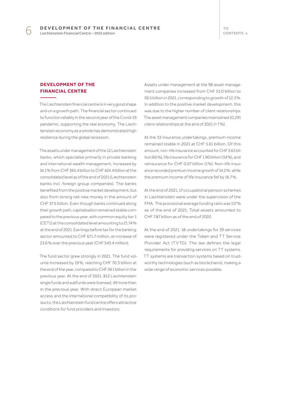TO [CONTENTS](#page-2-0)  $\rightarrow$ 

# <span id="page-5-0"></span>**DEVELOPMENT OF THE FINANCIAL CENTRE**

The Liechtenstein financial centre is in very good shape and on a growth path. The financial sector continued to function reliably in the second year of the Covid-19 pandemic, supporting the real economy. The Liechtenstein economy as a whole has demonstrated high resilience during the global recession.

The assets under management of the 12 Liechtenstein banks, which specialise primarily in private banking and international wealth management, increased by 16.1 % from CHF 365.4 billion to CHF 424.4 billion at the consolidated level as of the end of 2021 (Liechtenstein banks incl. foreign group companies). The banks benefited from the positive market development, but also from strong net new money in the amount of CHF 37.5 billion. Even though banks continued along their growth path, capitalisation remained stable compared to the previous year, with common equity tier 1 (CET1) at the consolidated level amounting to 21.74 % at the end of 2021. Earnings before tax for the banking sector amounted to CHF 671.7 million, an increase of 23.6 % over the previous year (CHF 543.4 million).

The fund sector grew strongly in 2021. The fund volume increased by 19 %, reaching CHF 70.3 billion at the end of the year, compared to CHF 59.1 billion in the previous year. At the end of 2021, 812 Liechtenstein single funds and subfunds were licensed, 49 more than in the previous year. With direct European market access and the international compatibility of its products, the Liechtenstein fund centre offers attractive conditions for fund providers and investors.

Assets under management at the 98 asset management companies increased from CHF 53.0 billion to 59.5 billion in 2021, corresponding to growth of 12.3 %. In addition to the positive market development, this was due to the higher number of client relationships. The asset management companies maintained 10,291 client relationships at the end of 2021 (+ 7 %).

At the 33 insurance undertakings, premium income remained stable in 2021 at CHF 5.61 billion. Of this amount, non-life insurance accounted for CHF 3.63 billion (65 %), life insurance for CHF 1.90 billion (34 %), and reinsurance for CHF 0.07 billion (1 %). Non-life insurance recorded premium income growth of 14.2 %, while the premium income of life insurance fell by 16.7 %.

At the end of 2021, 17 occupational pension schemes in Liechtenstein were under the supervision of the FMA. The provisional average funding ratio was 117 % as of the end of 2021. Total assets amounted to CHF 7.87 billion as of the end of 2020.

At the end of 2021, 18 undertakings for 39 services were registered under the Token and TT Service Provider Act (TVTG). The law defines the legal requirements for providing services on TT systems. TT systems are transaction systems based on trustworthy technologies (such as blockchains), making a wide range of economic services possible.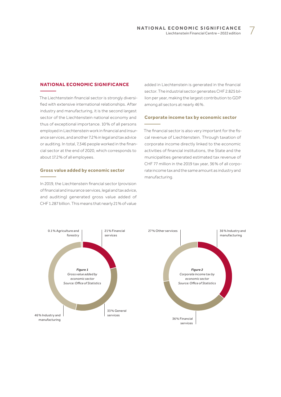#### <span id="page-6-0"></span>**NATIONAL ECONOMIC SIGNIFICANCE**

The Liechtenstein financial sector is strongly diversified with extensive international relationships. After industry and manufacturing, it is the second largest sector of the Liechtenstein national economy and thus of exceptional importance. 10 % of all persons employed in Liechtenstein work in financial and insurance services, and another 7.2 % in legal and tax advice or auditing. In total, 7,346 people worked in the financial sector at the end of 2020, which corresponds to about 17.2 % of all employees.

#### **Gross value added by economic sector**

In 2019, the Liechtenstein financial sector (provision of financial and insurance services, legal and tax advice, and auditing) generated gross value added of CHF 1.287 billion. This means that nearly 21 % of value

added in Liechtenstein is generated in the financial sector. The industrial sector generates CHF 2.825 billion per year, making the largest contribution to GDP among all sectors at nearly 46 %.

#### **Corporate income tax by economic sector**

The financial sector is also very important for the fiscal revenue of Liechtenstein. Through taxation of corporate income directly linked to the economic activities of financial institutions, the State and the municipalities generated estimated tax revenue of CHF 77 million in the 2019 tax year, 36 % of all corporate income tax and the same amount as industry and manufacturing.

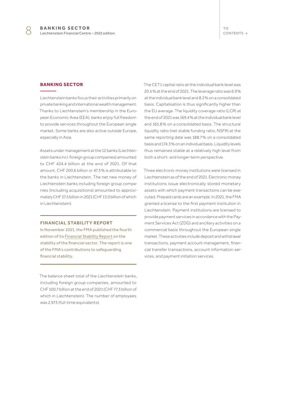#### <span id="page-7-0"></span>**BANKING SECTOR**

Liechtenstein banks focus their activities primarily on private banking and international wealth management. Thanks to Liechtenstein's membership in the European Economic Area (EEA), banks enjoy full freedom to provide services throughout the European single market. Some banks are also active outside Europe, especially in Asia.

Assets under management at the 12 banks (Liechtenstein banks incl. foreign group companies) amounted to CHF 424.4 billion at the end of 2021. Of that amount, CHF 200.6 billion or 47.3 % is attributable to the banks in Liechtenstein. The net new money of Liechtenstein banks including foreign group companies (including acquisitions) amounted to approximately CHF 37.5 billion in 2021 (CHF 13.0 billion of which in Liechtenstein).

#### **FINANCIAL STABILITY REPORT**

In November 2021, the FMA published the fourth edition of its [Financial Stability Report](https://www.fma-li.li/en/fma/publications/financial-stability-report.html) on the stability of the financial sector. The report is one of the FMA's contributions to safeguarding financial stability.

The balance sheet total of the Liechtenstein banks, including foreign group companies, amounted to CHF 100.7 billion at the end of 2021 (CHF 77.3 billion of which in Liechtenstein). The number of employees was 2,973 (full-time equivalents).

The CET1 capital ratio at the individual bank level was 20.5 % at the end of 2021. The leverage ratio was 6.9 % at the individual bank level and 8.2 % on a consolidated basis. Capitalisation is thus significantly higher than the EU average. The liquidity coverage ratio (LCR) at the end of 2021 was 169.4 % at the individual bank level and 165.8 % on a consolidated basis. The structural liquidity ratio (net stable funding ratio, NSFR) at the same reporting date was 188.7 % on a consolidated basis and 174.3 % on an individual basis. Liquidity levels thus remained stable at a relatively high level from both a short- and longer-term perspective.

Three electronic money institutions were licensed in Liechtenstein as of the end of 2021. Electronic money institutions issue electronically stored monetary assets with which payment transactions can be executed. Prepaid cards are an example. In 2021, the FMA granted a license to the first payment institution in Liechtenstein. Payment institutions are licensed to provide payment services in accordance with the Payment Services Act (ZDG) and ancillary activities on a commercial basis throughout the European single market. These activities include deposit and withdrawal transactions, payment account management, financial transfer transactions, account information services, and payment initiation services.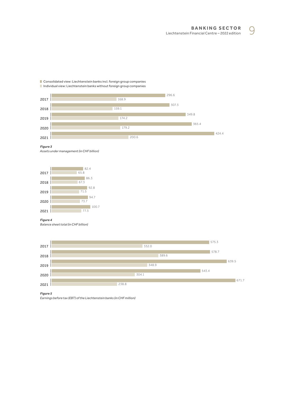**BANKIN G SECTOR** BANKING SECTOR<br>Liechtenstein Financial Centre - 2022 edition

Consolidated view: Liechtenstein banks incl. foreign group companies Individual view: Liechtenstein banks without foreign group companies



*Figure 3* 

*Assets under management (in CHF billion)*



#### *Figure 4*

*Balance sheet total (in CHF billion)*



*Figure 5* 

*Earnings before tax (EBT) of the Liechtenstein banks (in CHF million)*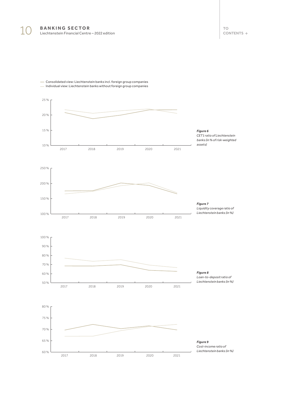

 Consolidated view: Liechtenstein banks incl. foreign group companies Individual view: Liechtenstein banks without foreign group companies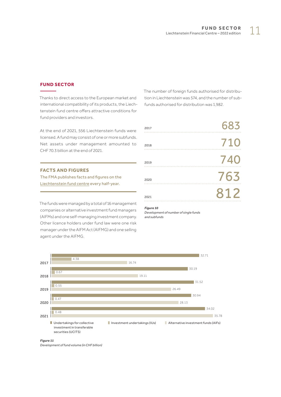## <span id="page-10-0"></span>**FUND SECTOR**

Thanks to direct access to the European market and international compatibility of its products, the Liechtenstein fund centre offers attractive conditions for fund providers and investors.

At the end of 2021, 556 Liechtenstein funds were licensed. A fund may consist of one or more subfunds. Net assets under management amounted to CHF 70.3 billion at the end of 2021.

#### **FACTS AND FIGURES**

The FMA publishes facts and figures on the [Liechtenstein fund centre](https://www.fma-li.li/de/fma/publikationen/publikationen-zum-vermogensverwaltungsstandort.html) every half-year.

The funds were managed by a total of 16 management companies or alternative investment fund managers (AIFMs) and one self-managing investment company. Other licence holders under fund law were one risk manager under the AIFM Act (AIFMG) and one selling agent under the AIFMG.

The number of foreign funds authorised for distribution in Liechtenstein was 574, and the number of subfunds authorised for distribution was 1,982.

| 2017 | 683 |
|------|-----|
| 2018 | 710 |
| 2019 | 740 |
| 2020 | 763 |
| 2021 | 812 |
|      |     |

## *Figure 10*

*Development of number of single funds and subfunds*



*Figure 11*

*Development of fund volume (in CHF billion)*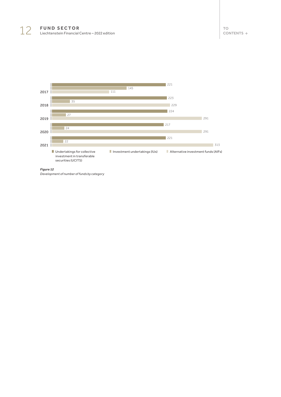

*Figure 12*

*Development of number of funds by category*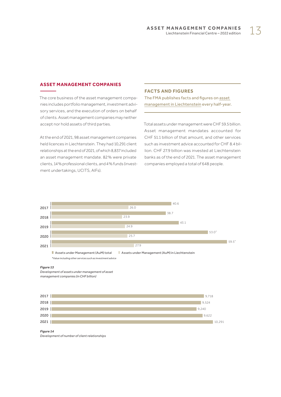# <span id="page-12-0"></span>**ASSET MANAGEMENT COMPANIES**

The core business of the asset management companies includes portfolio management, investment advisory services, and the execution of orders on behalf of clients. Asset management companies may neither accept nor hold assets of third parties.

At the end of 2021, 98 asset management companies held licences in Liechtenstein. They had 10,291 client relationships at the end of 2021, of which 8,837 included an asset management mandate. 82 % were private clients, 14 % professional clients, and 4 % funds (investment undertakings, UCITS, AIFs).

#### **FACTS AND FIGURES**

The FMA publishes facts and figures on [asset](https://www.fma-li.li/de/fma/publikationen/publikationen-zum-vermogensverwaltungsstandort.html)  [management in Liechtenstein](https://www.fma-li.li/de/fma/publikationen/publikationen-zum-vermogensverwaltungsstandort.html) every half-year.

Total assets under management were CHF 59.5 billion. Asset management mandates accounted for CHF 51.1 billion of that amount, and other services such as investment advice accounted for CHF 8.4 billion. CHF 27.9 billion was invested at Liechtenstein banks as of the end of 2021. The asset management companies employed a total of 648 people.



#### *Figure 13*

*Development of assets under management of asset management companies (in CHF billion)*



#### *Figure 14*

*Development of number of client relationships*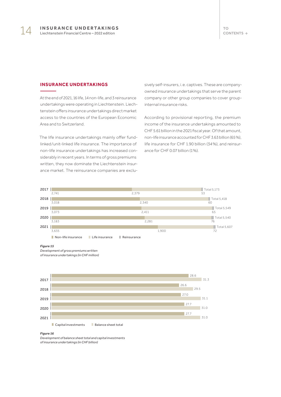#### <span id="page-13-0"></span>**INSURANCE UNDERTAKINGS**

At the end of 2021, 16 life, 14 non-life, and 3 reinsurance undertakings were operating in Liechtenstein. Liechtenstein offers insurance undertakings direct market access to the countries of the European Economic Area and to Switzerland.

The life insurance undertakings mainly offer fundlinked/unit-linked life insurance. The importance of non-life insurance undertakings has increased considerably in recent years. In terms of gross premiums written, they now dominate the Liechtenstein insurance market. The reinsurance companies are exclusively self-insurers, i.e. captives. These are companyowned insurance undertakings that serve the parent company or other group companies to cover groupinternal insurance risks.

According to provisional reporting, the premium income of the insurance undertakings amounted to CHF 5.61 billion in the 2021 fiscal year. Of that amount, non-life insurance accounted for CHF 3.63 billion (65 %), life insurance for CHF 1.90 billion (34 %), and reinsurance for CHF 0.07 billion (1 %).



#### *Figure 15*

*Development of gross premiums written of insurance undertakings (in CHF million)*



#### **Capital investments Balance sheet total**

#### *Figure 16*

*Development of balance sheet total and capital investments of insurance undertakings (in CHF billion)*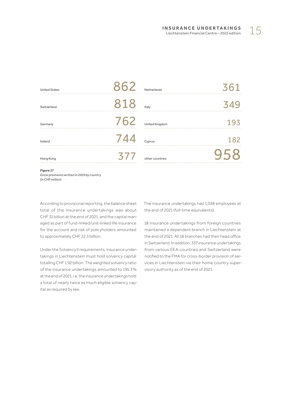| <b>Figure 17</b>     |     |                 |     |
|----------------------|-----|-----------------|-----|
| Hong Kong            | 377 | other countries |     |
| Ireland              | 744 | Cyprus          | 182 |
| Germany              | 762 | United Kingdom  | 193 |
| Switzerland          | 818 | Italy           | 349 |
| <b>United States</b> | 862 | Netherlands     | 361 |
|                      |     |                 |     |

*Figure 17 Gross premiums written in 2020 by country (in CHF million)*

According to provisional reporting, the balance sheet total of the insurance undertakings was about CHF 31 billion at the end of 2021, and the capital managed as part of fund-linked/unit-linked life insurance for the account and risk of policyholders amounted to approximately CHF 22.3 billion.

Under the Solvency II requirements, insurance undertakings in Liechtenstein must hold solvency capital totalling CHF 1.92 billion. The weighted solvency ratio of the insurance undertakings amounted to 195.3 % at the end of 2021, i.e. the insurance undertakings hold a total of nearly twice as much eligible solvency capital as required by law.

The insurance undertakings had 1,038 employees at the end of 2021 (full-time equivalents).

18 insurance undertakings from foreign countries maintained a dependent branch in Liechtenstein at the end of 2021. All 18 branches had their head office in Switzerland. In addition, 337 insurance undertakings from various EEA countries and Switzerland were notified to the FMA for cross-border provision of services in Liechtenstein via their home country supervisory authority as of the end of 2021.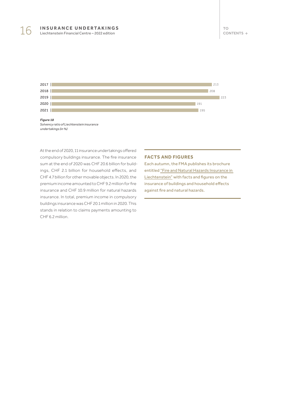



At the end of 2020, 11 insurance undertakings offered compulsory buildings insurance. The fire insurance sum at the end of 2020 was CHF 20.6 billion for buildings, CHF 2.1 billion for household effects, and CHF 4.7 billion for other movable objects. In 2020, the premium income amounted to CHF 9.2 million for fire insurance and CHF 10.9 million for natural hazards insurance. In total, premium income in compulsory buildings insurance was CHF 20.1 million in 2020. This stands in relation to claims payments amounting to CHF 6.2 million.

#### **FACTS AND FIGURES**

Each autumn, the FMA publishes its brochure entitled "[Fire and Natural Hazards Insurance in](https://www.fma-li.li/de/fma/publikationen/feuer-und-elementarschadenversicherung-in-liechtenstein.html)  [Liechtenstein"](https://www.fma-li.li/de/fma/publikationen/feuer-und-elementarschadenversicherung-in-liechtenstein.html) with facts and figures on the insurance of buildings and household effects against fire and natural hazards.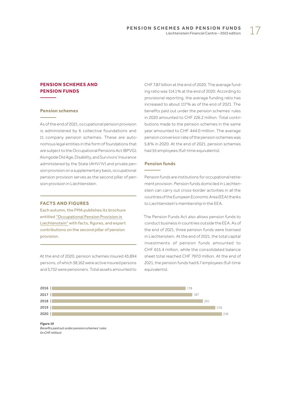# <span id="page-16-0"></span>**PENSION SCHEMES AND PENSION FUNDS**

#### **Pension schemes**

As of the end of 2021, occupational pension provision is administered by 6 collective foundations and 11 company pension schemes. These are autonomous legal entities in the form of foundations that are subject to the Occupational Pensions Act (BPVG). Alongside Old Age, Disability, and Survivors' Insurance administered by the State (AHV/IV) and private pension provision on a supplementary basis, occupational pension provision serves as the second pillar of pension provision in Liechtenstein.

#### **FACTS AND FIGURES**

Each autumn, the FMA publishes its brochure entitled "[Occupational Pension Provision in](https://www.fma-li.li/de/fma/publikationen/betriebliche-personalvorsorge-in-liechtenstein.html)  [Liechtenstein"](https://www.fma-li.li/de/fma/publikationen/betriebliche-personalvorsorge-in-liechtenstein.html) with facts, figures, and expert contributions on the second pillar of pension provision.

At the end of 2020, pension schemes insured 43,894 persons, of which 38,162 were active insured persons and 5,732 were pensioners. Total assets amounted to CHF 7.87 billion at the end of 2020. The average funding ratio was 114.1 % at the end of 2020. According to provisional reporting, the average funding ratio has increased to about 117 % as of the end of 2021. The benefits paid out under the pension schemes' rules in 2020 amounted to CHF 226.2 million. Total contributions made to the pension schemes in the same year amounted to CHF 444.0 million. The average pension conversion rate of the pension schemes was 5.8 % in 2020. At the end of 2021, pension schemes had 55 employees (full-time equivalents).

#### **Pension funds**

Pension funds are institutions for occupational retirement provision. Pension funds domiciled in Liechtenstein can carry out cross-border activities in all the countries of the European Economic Area (EEA) thanks to Liechtenstein's membership in the EEA.

The Pension Funds Act also allows pension funds to conduct business in countries outside the EEA. As of the end of 2021, three pension funds were licensed in Liechtenstein. At the end of 2021, the total capital investments of pension funds amounted to CHF 615.4 million, while the consolidated balance sheet total reached CHF 797.0 million. At the end of 2021, the pension funds had 6.7 employees (full-time equivalents).



*Figure 19 Benefits paid out under pension schemes' rules (in CHF million)*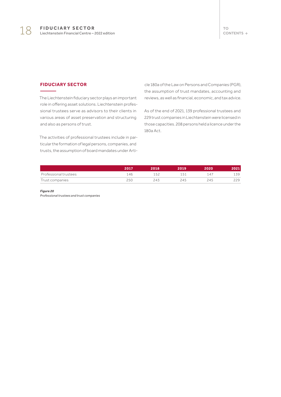## <span id="page-17-0"></span>**FIDUCIARY SECTOR**

The Liechtenstein fiduciary sector plays an important role in offering asset solutions. Liechtenstein professional trustees serve as advisors to their clients in various areas of asset preservation and structuring and also as persons of trust.

The activities of professional trustees include in particular the formation of legal persons, companies, and trusts, the assumption of board mandates under Article 180a of the Law on Persons and Companies (PGR), the assumption of trust mandates, accounting and reviews, as well as financial, economic, and tax advice.

As of the end of 2021, 139 professional trustees and 229 trust companies in Liechtenstein were licensed in those capacities. 208 persons held a licence under the 180a Act.

|                       | 2017    | 2018 | 2019   | 2020  | 021 |
|-----------------------|---------|------|--------|-------|-----|
| Professional trustees | . 46    | -50  | $\sim$ | / ∆ ا | スロ  |
| Trust companies       | $5 - 1$ |      | ,45    | 245   |     |

*Figure 20*

*Professional trustees and trust companies*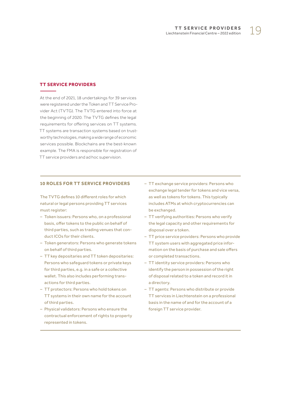#### <span id="page-18-0"></span>**TT SERVICE PROVIDERS**

At the end of 2021, 18 undertakings for 39 services were registered under the Token and TT Service Provider Act (TVTG). The TVTG entered into force at the beginning of 2020. The TVTG defines the legal requirements for offering services on TT systems. TT systems are transaction systems based on trustworthy technologies, making a wide range of economic services possible. Blockchains are the best-known example. The FMA is responsible for registration of TT service providers and ad hoc supervision.

#### **10 ROLES FOR TT SERVICE PROVIDERS**

The TVTG defines 10 different roles for which natural or legal persons providing TT services must register:

- Token issuers: Persons who, on a professional basis, offer tokens to the public on behalf of third parties, such as trading venues that conduct ICOs for their clients.
- Token generators: Persons who generate tokens on behalf of third parties.
- TT key depositaries and TT token depositaries: Persons who safeguard tokens or private keys for third parties, e.g. in a safe or a collective wallet. This also includes performing transactions for third parties.
- TT protectors: Persons who hold tokens on TT systems in their own name for the account of third parties.
- Physical validators: Persons who ensure the contractual enforcement of rights to property represented in tokens.
- TT exchange service providers: Persons who exchange legal tender for tokens and vice versa, as well as tokens for tokens. This typically includes ATMs at which cryptocurrencies can be exchanged.
- TT verifying authorities: Persons who verify the legal capacity and other requirements for disposal over a token.
- TT price service providers: Persons who provide TT system users with aggregated price information on the basis of purchase and sale offers or completed transactions.
- TT identity service providers: Persons who identify the person in possession of the right of disposal related to a token and record it in a directory.
- TT agents: Persons who distribute or provide TT services in Liechtenstein on a professional basis in the name of and for the account of a foreign TT service provider.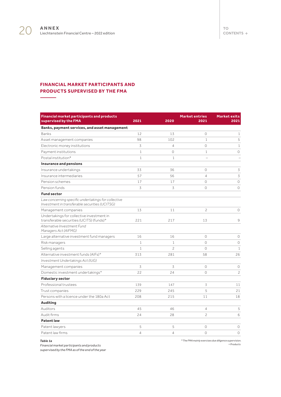L.

# <span id="page-19-0"></span>**FINANCIAL MARKET PARTICIPANTS AND PRODUCTS SUPERVISED BY THE FMA**

| <b>Financial market participants and products</b><br>supervised by the FMA                            | 2021           | 2020           | <b>Market entries</b><br>2021 | <b>Market exits</b><br>2021 |
|-------------------------------------------------------------------------------------------------------|----------------|----------------|-------------------------------|-----------------------------|
| Banks, payment services, and asset management                                                         |                |                |                               |                             |
| Banks                                                                                                 | 12             | 13             | $\circ$                       | $\mathbf{1}$                |
| Asset management companies                                                                            | 98             | 102            | $\mathbf{1}$                  | 5                           |
| Electronic money institutions                                                                         | 3              | $\overline{4}$ | $\Omega$                      | $\mathbf{1}$                |
| Payment institutions                                                                                  | $\mathbf{1}$   | $\circ$        | $\mathbf{1}$                  | 0                           |
| Postal institution*                                                                                   | $\mathbf{1}$   | 1              |                               |                             |
| Insurance and pensions                                                                                |                |                |                               |                             |
| Insurance undertakings                                                                                | 33             | 36             | $\circ$                       | 3                           |
| Insurance intermediaries                                                                              | 57             | 56             | $\overline{4}$                | 3                           |
| Pension schemes                                                                                       | 17             | 17             | $\circ$                       | $\circ$                     |
| Pension funds                                                                                         | 3              | 3              | $\circ$                       | $\circ$                     |
| <b>Fund sector</b>                                                                                    |                |                |                               |                             |
| Law concerning specific undertakings for collective<br>Investment in transferable securities (UCITSG) |                |                |                               |                             |
| Management companies                                                                                  | 13             | 11             | $\overline{c}$                | 0                           |
| Undertakings for collective investment in<br>transferable securities (UCITS) (funds) <sup>+</sup>     | 221            | 217            | 13                            | 9                           |
| Alternative Investment Fund<br>Managers Act (AIFMG)                                                   |                |                |                               |                             |
| Large alternative investment fund managers                                                            | 16             | 16             | $\Omega$                      | 0                           |
| Risk managers                                                                                         | $\mathbf{1}$   | 1              | $\circ$                       | $\circ$                     |
| Selling agents                                                                                        | $\mathbf{1}$   | $\overline{c}$ | $\circ$                       | $\mathbf{1}$                |
| Alternative investment funds (AIFs) <sup>+</sup>                                                      | 313            | 281            | 58                            | 26                          |
| Investment Undertakings Act (IUG)                                                                     |                |                |                               |                             |
| Management companies                                                                                  | 3              | 3              | $\circ$                       | 0                           |
| Domestic investment undertakings <sup>+</sup>                                                         | 22             | 24             | $\circ$                       | $\overline{c}$              |
| <b>Fiduciary sector</b>                                                                               |                |                |                               |                             |
| Professional trustees                                                                                 | 139            | 147            | 3                             | 11                          |
| Trust companies                                                                                       | 229            | 245            | 5                             | 21                          |
| Persons with a licence under the 180a Act                                                             | 208            | 215            | 11                            | 18                          |
| <b>Auditing</b>                                                                                       |                |                |                               |                             |
| Auditors                                                                                              | 45             | 46             | $\overline{4}$                | 5                           |
| Audit firms                                                                                           | 24             | 28             | $\overline{c}$                | 6                           |
| <b>Patent law</b>                                                                                     |                |                |                               |                             |
| Patent lawyers                                                                                        | 5              | 5              | $\circ$                       | 0                           |
| Patent law firms                                                                                      | $\overline{4}$ | $\overline{4}$ | $\circ$                       | $\circ$                     |

*Table 1a*

*\* The FMA mainly exercises due diligence supervision. + Products* 

*Financial market participants and products* 

*supervised by the FMA as of the end of the year*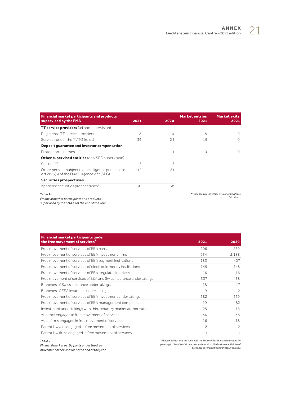| <b>Financial market participants and products</b><br>supervised by the FMA                        | 2021 | 2020 | <b>Market entries</b><br>2021 | <b>Market exits</b><br>2021                                            |
|---------------------------------------------------------------------------------------------------|------|------|-------------------------------|------------------------------------------------------------------------|
| <b>TT service providers</b> (ad hoc supervision)                                                  |      |      |                               |                                                                        |
| Registered TT service providers                                                                   | 18   | 10   | 8                             |                                                                        |
| Services under the TVTG (roles)                                                                   | 39   | 24   | 15                            | O                                                                      |
| Deposit guarantee and investor compensation                                                       |      |      |                               |                                                                        |
| Protection schemes                                                                                |      |      | $\Omega$                      | $\Omega$                                                               |
| <b>Other supervised entities</b> (only SPG supervision)                                           |      |      |                               |                                                                        |
| Casinos**                                                                                         | 5    | 5    |                               |                                                                        |
| Other persons subject to due diligence pursuant to<br>Article 3(3) of the Due Diligence Act (SPG) | 112  | 81   |                               |                                                                        |
| Securities prospectuses                                                                           |      |      |                               |                                                                        |
| Approved securities prospectuses <sup>+</sup>                                                     | 30   | 38   |                               |                                                                        |
| <b>Table 1b</b><br>Financial market narticinants and products                                     |      |      |                               | ** Licensed by the Office of Economic Affairs<br><sup>+</sup> Products |

#### *Table 1b*

*Financial market participants and products* 

*supervised by the FMA as of the end of the year*

| <b>Financial market participants under</b>                        |               |                |
|-------------------------------------------------------------------|---------------|----------------|
| the free movement of services <sup>*</sup>                        | 2021          | 2020           |
| Free movement of services of EEA banks                            | 206           | 269            |
| Free movement of services of EEA investment firms                 | 634           | 2,188          |
| Free movement of services of EEA payment institutions             | 183           | 407            |
| Free movement of services of electronic money institutions        | 145           | 248            |
| Free movement of services of EEA-regulated markets                | 16            | 16             |
| Free movement of services of EEA and Swiss insurance undertakings | 337           | 438            |
| Branches of Swiss insurance undertakings                          | 18            | 17             |
| Branches of EEA insurance undertakings                            | 0             | $\overline{c}$ |
| Free movement of services of EEA investment undertakings          | 682           | 559            |
| Free movement of services of EEA management companies             | 90            | 82             |
| Investment undertakings with third-country market authorisation   | 25            | 13             |
| Auditors engaged in free movement of services                     | 36            | 38             |
| Audit firms engaged in free movement of services                  | 16            | 18             |
| Patent lawyers engaged in free movement of services               | $\mathcal{P}$ | $\overline{c}$ |
| Patent law firms engaged in free movement of services             | 1             | $\mathbf{1}$   |

#### *Table 2*

*Financial market participants under the free movement of services as of the end of the year*

*\* When notifications are received, the FMA verifies that all conditions for operating in Liechtenstein are met and monitors the business activities of branches of foreign financial intermediaries.*